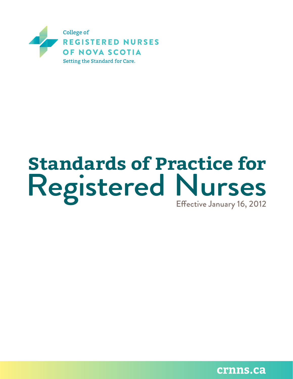

# Registered Nurses **Standards of Practice for**

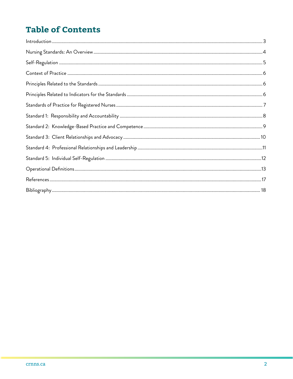# **Table of Contents**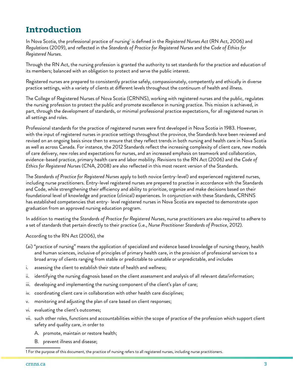## **Introduction**

In Nova Scotia, the professional practice of nursing<sup>1</sup> is defined in the *Registered Nurses Act* (RN Act, 2006) and *Regulations* (2009), and reflected in the *Standards of Practice for Registered Nurses* and the *Code of Ethics for Registered Nurses*.

Through the RN Act, the nursing profession is granted the authority to set standards for the practice and education of its members; balanced with an obligation to protect and serve the public interest.

Registered nurses are prepared to consistently practise safely, compassionately, competently and ethically in diverse practice settings, with a variety of clients at different levels throughout the continuum of health and illness.

The College of Registered Nurses of Nova Scotia (CRNNS), working with registered nurses and the public, regulates the nursing profession to protect the public and promote excellence in nursing practice. This mission is achieved, in part, through the development of standards, or minimal professional practice expectations, for all registered nurses in all settings and roles.

Professional standards for the practice of registered nurses were first developed in Nova Scotia in 1983. However, with the input of registered nurses in practice settings throughout the province, the Standards have been reviewed and revised on an ongoing basis since then to ensure that they reflect trends in both nursing and health care in Nova Scotia as well as across Canada. For instance, the 2012 Standards reflect the increasing complexity of client care, new models of care delivery, new roles and expectations for nurses, and an increased emphasis on teamwork and collaboration, evidence-based practice, primary health care and labor mobility. Revisions to the RN Act (2006) and the *Code of Ethics for Registered Nurses* (CNA, 2008) are also reflected in this most recent version of the Standards.

The *Standards of Practice for Registered Nurses* apply to both novice (entry-level) and experienced registered nurses, including nurse practitioners. Entry-level registered nurses are prepared to practise in accordance with the Standards and Code, while strengthening their efficiency and ability to prioritize, organize and make decisions based on their foundational level of knowledge and practice (clinical) experiences. In conjunction with these Standards, CRNNS has established competencies that entry- level registered nurses in Nova Scotia are expected to demonstrate upon graduation from an approved nursing education program.

In addition to meeting the *Standards of Practice for Registered Nurses*, nurse practitioners are also required to adhere to a set of standards that pertain directly to their practice (i.e., *Nurse Practitioner Standards of Practice*, 2012).

#### According to the RN Act (2006), the

- (ai) "practice of nursing" means the application of specialized and evidence based knowledge of nursing theory, health and human sciences, inclusive of principles of primary health care, in the provision of professional services to a broad array of clients ranging from stable or predictable to unstable or unpredictable, and includes
- i. assessing the client to establish their state of health and wellness;
- ii. identifying the nursing diagnosis based on the client assessment and analysis of all relevant data/information;
- iii. developing and implementing the nursing component of the client's plan of care;
- iv. coordinating client care in collaboration with other health care disciplines;
- v. monitoring and adjusting the plan of care based on client responses;
- vi. evaluating the client's outcomes;
- vii. such other roles, functions and accountabilities within the scope of practice of the profession which support client safety and quality care, in order to
	- A. promote, maintain or restore health;
	- B. prevent illness and disease;

1 For the purpose of this document, the practice of nursing refers to all registered nurses, including nurse practitioners.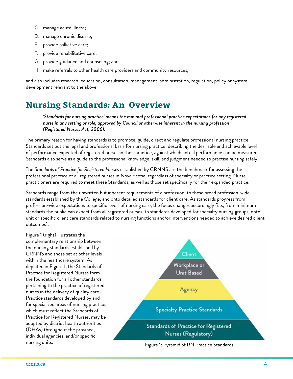- C. manage acute illness;
- D. manage chronic disease;
- E. provide palliative care;
- F. provide rehabilitative care;
- G. provide guidance and counseling; and
- H. make referrals to other health care providers and community resources,

and also includes research, education, consultation, management, administration, regulation, policy or system development relevant to the above.

## **Nursing Standards: An Overview**

*'Standards for nursing practice' means the minimal professional practice expectations for any registered nurse in any setting or role, approved by Council or otherwise inherent in the nursing profession (Registered Nurses Act, 2006).*

The primary reason for having standards is to promote, guide, direct and regulate professional nursing practice. Standards set out the legal and professional basis for nursing practice: describing the desirable and achievable level of performance expected of registered nurses in their practice, against which actual performance can be measured. Standards also serve as a guide to the professional knowledge, skill, and judgment needed to practise nursing safely.

The *Standards of Practice for Registered Nurses* established by CRNNS are the benchmark for assessing the professional practice of all registered nurses in Nova Scotia, regardless of specialty or practice setting. Nurse practitioners are required to meet these Standards, as well as those set specifically for their expanded practice.

Standards range from the unwritten but inherent requirements of a profession, to these broad profession-wide standards established by the College, and onto detailed standards for client care. As standards progress from profession-wide expectations to specific levels of nursing care, the focus changes accordingly (i.e., from minimum standards the public can expect from all registered nurses, to standards developed for specialty nursing groups, onto unit or specific client care standards related to nursing functions and/or interventions needed to achieve desired client outcomes).

Figure 1 (right) illustrates the complementary relationship between the nursing standards established by CRNNS and those set at other levels within the healthcare system. As depicted in Figure 1, the Standards of Practice for Registered Nurses form the foundation for all other standards pertaining to the practice of registered nurses in the delivery of quality care. Practice standards developed by and for specialized areas of nursing practice, which must reflect the Standards of Practice for Registered Nurses, may be adopted by district health authorities (DHAs) throughout the province, individual agencies, and/or specific nursing units. The same of the set of the set of the Figure 1: Pyramid of RN Practice Standards

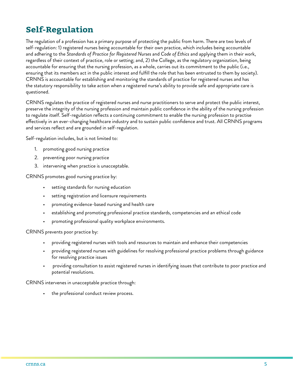## **Self-Regulation**

The regulation of a profession has a primary purpose of protecting the public from harm. There are two levels of self-regulation: 1) registered nurses being accountable for their own practice, which includes being accountable and adhering to the *Standards of Practice for Registered Nurses* and *Code of Ethics* and applying them in their work, regardless of their context of practice, role or setting; and, 2) the College, as the regulatory organization, being accountable for ensuring that the nursing profession, as a whole, carries out its commitment to the public (i.e., ensuring that its members act in the public interest and fulfill the role that has been entrusted to them by society). CRNNS is accountable for establishing and monitoring the standards of practice for registered nurses and has the statutory responsibility to take action when a registered nurse's ability to provide safe and appropriate care is questioned.

CRNNS regulates the practice of registered nurses and nurse practitioners to serve and protect the public interest, preserve the integrity of the nursing profession and maintain public confidence in the ability of the nursing profession to regulate itself. Self-regulation reflects a continuing commitment to enable the nursing profession to practise effectively in an ever-changing healthcare industry and to sustain public confidence and trust. All CRNNS programs and services reflect and are grounded in self-regulation.

Self-regulation includes, but is not limited to:

- 1. promoting good nursing practice
- 2. preventing poor nursing practice
- 3. intervening when practice is unacceptable.

CRNNS promotes good nursing practice by:

- setting standards for nursing education
- setting registration and licensure requirements
- promoting evidence-based nursing and health care
- establishing and promoting professional practice standards, competencies and an ethical code
- promoting professional quality workplace environments.

CRNNS prevents poor practice by:

- providing registered nurses with tools and resources to maintain and enhance their competencies
- providing registered nurses with guidelines for resolving professional practice problems through guidance for resolving practice issues
- providing consultation to assist registered nurses in identifying issues that contribute to poor practice and potential resolutions.

CRNNS intervenes in unacceptable practice through:

the professional conduct review process.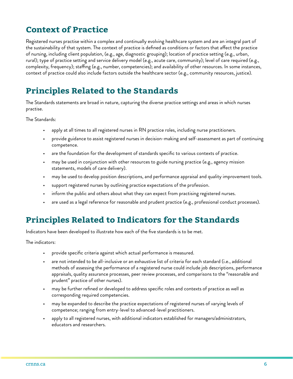## **Context of Practice**

Registered nurses practise within a complex and continually evolving healthcare system and are an integral part of the sustainability of that system. The context of practice is defined as conditions or factors that affect the practice of nursing, including client population, (e.g., age, diagnostic grouping); location of practice setting (e.g., urban, rural); type of practice setting and service delivery model (e.g., acute care, community); level of care required (e.g., complexity, frequency); staffing (e.g., number, competencies); and availability of other resources. In some instances, context of practice could also include factors outside the healthcare sector (e.g., community resources, justice).

## **Principles Related to the Standards**

The Standards statements are broad in nature, capturing the diverse practice settings and areas in which nurses practise.

The Standards:

- apply at all times to all registered nurses in RN practice roles, including nurse practitioners.
- provide guidance to assist registered nurses in decision-making and self-assessment as part of continuing competence.
- are the foundation for the development of standards specific to various contexts of practice.
- may be used in conjunction with other resources to guide nursing practice (e.g., agency mission statements, models of care delivery).
- may be used to develop position descriptions, and performance appraisal and quality improvement tools.
- support registered nurses by outlining practice expectations of the profession.
- inform the public and others about what they can expect from practising registered nurses.
- are used as a legal reference for reasonable and prudent practice (e.g., professional conduct processes).

## **Principles Related to Indicators for the Standards**

Indicators have been developed to illustrate how each of the five standards is to be met.

The indicators:

- provide specific criteria against which actual performance is measured.
- are not intended to be all-inclusive or an exhaustive list of criteria for each standard (i.e., additional methods of assessing the performance of a registered nurse could include job descriptions, performance appraisals, quality assurance processes, peer review processes, and comparisons to the "reasonable and prudent" practice of other nurses).
- may be further refined or developed to address specific roles and contexts of practice as well as corresponding required competencies.
- may be expanded to describe the practice expectations of registered nurses of varying levels of competence; ranging from entry-level to advanced-level practitioners.
- apply to all registered nurses, with additional indicators established for managers/administrators, educators and researchers.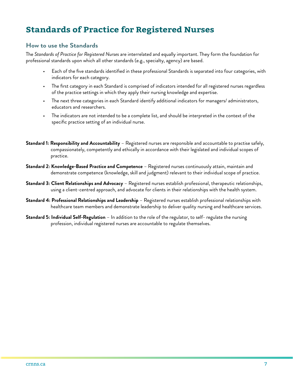## **Standards of Practice for Registered Nurses**

#### **How to use the Standards**

The *Standards of Practice for Registered Nurses* are interrelated and equally important. They form the foundation for professional standards upon which all other standards (e.g., specialty, agency) are based.

- Each of the five standards identified in these professional Standards is separated into four categories, with indicators for each category.
- The first category in each Standard is comprised of indicators intended for all registered nurses regardless of the practice settings in which they apply their nursing knowledge and expertise.
- The next three categories in each Standard identify additional indicators for managers/ administrators, educators and researchers.
- The indicators are not intended to be a complete list, and should be interpreted in the context of the specific practice setting of an individual nurse.
- **Standard 1: Responsibility and Accountability** Registered nurses are responsible and accountable to practise safely, compassionately, competently and ethically in accordance with their legislated and individual scopes of practice.
- **Standard 2: Knowledge-Based Practice and Competence** Registered nurses continuously attain, maintain and demonstrate competence (knowledge, skill and judgment) relevant to their individual scope of practice.
- **Standard 3: Client Relationships and Advocacy** Registered nurses establish professional, therapeutic relationships, using a client-centred approach, and advocate for clients in their relationships with the health system.
- **Standard 4: Professional Relationships and Leadership** Registered nurses establish professional relationships with healthcare team members and demonstrate leadership to deliver quality nursing and healthcare services.
- **Standard 5: Individual Self-Regulation** In addition to the role of the regulator, to self- regulate the nursing profession, individual registered nurses are accountable to regulate themselves.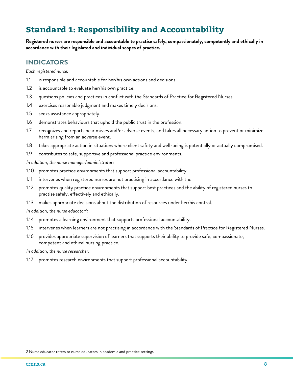## **Standard 1: Responsibility and Accountability**

**Registered nurses are responsible and accountable to practise safely, compassionately, competently and ethically in accordance with their legislated and individual scopes of practice.**

## **INDICATORS**

*Each registered nurse:*

- 1.1 is responsible and accountable for her/his own actions and decisions.
- 1.2 is accountable to evaluate her/his own practice.
- 1.3 questions policies and practices in conflict with the Standards of Practice for Registered Nurses.
- 1.4 exercises reasonable judgment and makes timely decisions.
- 1.5 seeks assistance appropriately.
- 1.6 demonstrates behaviours that uphold the public trust in the profession.
- 1.7 recognizes and reports near misses and/or adverse events, and takes all necessary action to prevent or minimize harm arising from an adverse event.
- 1.8 takes appropriate action in situations where client safety and well-being is potentially or actually compromised.
- 1.9 contributes to safe, supportive and professional practice environments.

*In addition, the nurse manager/administrator:*

- 1.10 promotes practice environments that support professional accountability.
- 1.11 intervenes when registered nurses are not practising in accordance with the
- 1.12 promotes quality practice environments that support best practices and the ability of registered nurses to practise safely, effectively and ethically.
- 1.13 makes appropriate decisions about the distribution of resources under her/his control.

*In addition, the nurse educator2 :*

- 1.14 promotes a learning environment that supports professional accountability.
- 1.15 intervenes when learners are not practising in accordance with the Standards of Practice for Registered Nurses.
- 1.16 provides appropriate supervision of learners that supports their ability to provide safe, compassionate, competent and ethical nursing practice.

*In addition, the nurse researcher:*

1.17 promotes research environments that support professional accountability.

<sup>2</sup> Nurse educator refers to nurse educators in academic and practice settings.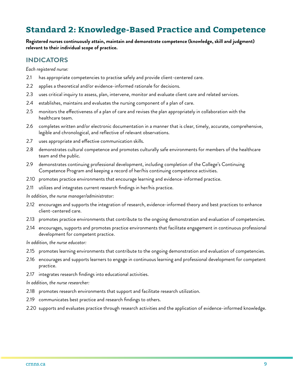## **Standard 2: Knowledge-Based Practice and Competence**

**Registered nurses continuously attain, maintain and demonstrate competence (knowledge, skill and judgment) relevant to their individual scope of practice.**

#### **INDICATORS**

*Each registered nurse:*

- 2.1 has appropriate competencies to practise safely and provide client-centered care.
- 2.2 applies a theoretical and/or evidence-informed rationale for decisions.
- 2.3 uses critical inquiry to assess, plan, intervene, monitor and evaluate client care and related services.
- 2.4 establishes, maintains and evaluates the nursing component of a plan of care.
- 2.5 monitors the effectiveness of a plan of care and revises the plan appropriately in collaboration with the healthcare team.
- 2.6 completes written and/or electronic documentation in a manner that is clear, timely, accurate, comprehensive, legible and chronological, and reflective of relevant observations.
- 2.7 uses appropriate and effective communication skills.
- 2.8 demonstrates cultural competence and promotes culturally safe environments for members of the healthcare team and the public.
- 2.9 demonstrates continuing professional development, including completion of the College's Continuing Competence Program and keeping a record of her/his continuing competence activities.
- 2.10 promotes practice environments that encourage learning and evidence-informed practice.
- 2.11 utilizes and integrates current research findings in her/his practice.
- *In addition, the nurse manager/administrator:*
- 2.12 encourages and supports the integration of research, evidence-informed theory and best practices to enhance client-centered care.
- 2.13 promotes practice environments that contribute to the ongoing demonstration and evaluation of competencies.
- 2.14 encourages, supports and promotes practice environments that facilitate engagement in continuous professional development for competent practice.

*In addition, the nurse educator:*

- 2.15 promotes learning environments that contribute to the ongoing demonstration and evaluation of competencies.
- 2.16 encourages and supports learners to engage in continuous learning and professional development for competent practice.
- 2.17 integrates research findings into educational activities.

#### *In addition, the nurse researcher:*

- 2.18 promotes research environments that support and facilitate research utilization.
- 2.19 communicates best practice and research findings to others.
- 2.20 supports and evaluates practice through research activities and the application of evidence-informed knowledge.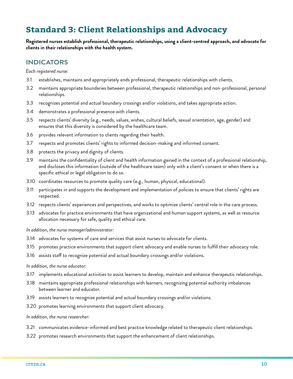## **Standard 3: Client Relationships and Advocacy**

**Registered nurses establish professional, therapeutic relationships, using a client-centred approach, and advocate for clients in their relationships with the health system.**

## **INDICATORS**

*Each registered nurse:*

- 3.1 establishes, maintains and appropriately ends professional, therapeutic relationships with clients.
- 3.2 maintains appropriate boundaries between professional, therapeutic relationships and non-professional, personal relationships.
- 3.3 recognizes potential and actual boundary crossings and/or violations, and takes appropriate action.
- 3.4 demonstrates a professional presence with clients.
- 3.5 respects clients' diversity (e.g., needs, values, wishes, cultural beliefs, sexual orientation, age, gender) and ensures that this diversity is considered by the healthcare team.
- 3.6 provides relevant information to clients regarding their health.
- 3.7 respects and promotes clients' rights to informed decision-making and informed consent.
- 3.8 protects the privacy and dignity of clients.
- 3.9 maintains the confidentiality of client and health information gained in the context of a professional relationship, and discloses this information (outside of the healthcare team) only with a client's consent or when there is a specific ethical or legal obligation to do so.
- 3.10 coordinates resources to promote quality care (e.g., human, physical, educational).
- 3.11 participates in and supports the development and implementation of policies to ensure that clients' rights are respected.
- 3.12 respects clients' experiences and perspectives, and works to optimize clients' central role in the care process.
- 3.13 advocates for practice environments that have organizational and human support systems, as well as resource allocation necessary for safe, quality and ethical care.

*In addition, the nurse manager/administrator:*

- 3.14 advocates for systems of care and services that assist nurses to advocate for clients.
- 3.15 promotes practice environments that support client advocacy and enable nurses to fulfill their advocacy role.
- 3.16 assists staff to recognize potential and actual boundary crossings and/or violations.

#### *In addition, the nurse educator:*

- 3.17 implements educational activities to assist learners to develop, maintain and enhance therapeutic relationships.
- 3.18 maintains appropriate professional relationships with learners, recognizing potential authority imbalances between learner and educator.
- 3.19 assists learners to recognize potential and actual boundary crossings and/or violations.
- 3.20 promotes learning environments that support client advocacy.

*In addition, the nurse researcher:*

- 3.21 communicates evidence-informed and best practice knowledge related to therapeutic client relationships.
- 3.22 promotes research environments that support the enhancement of client relationships.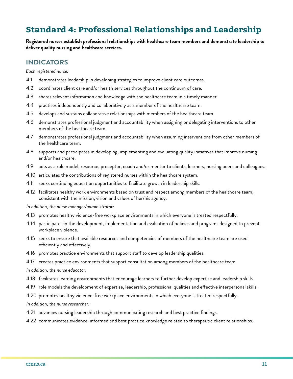## **Standard 4: Professional Relationships and Leadership**

**Registered nurses establish professional relationships with healthcare team members and demonstrate leadership to deliver quality nursing and healthcare services.**

#### **INDICATORS**

*Each registered nurse:*

- 4.1 demonstrates leadership in developing strategies to improve client care outcomes.
- 4.2 coordinates client care and/or health services throughout the continuum of care.
- 4.3 shares relevant information and knowledge with the healthcare team in a timely manner.
- 4.4 practises independently and collaboratively as a member of the healthcare team.
- 4.5 develops and sustains collaborative relationships with members of the healthcare team.
- 4.6 demonstrates professional judgment and accountability when assigning or delegating interventions to other members of the healthcare team.
- 4.7 demonstrates professional judgment and accountability when assuming interventions from other members of the healthcare team.
- 4.8 supports and participates in developing, implementing and evaluating quality initiatives that improve nursing and/or healthcare.
- 4.9 acts as a role model, resource, preceptor, coach and/or mentor to clients, learners, nursing peers and colleagues.
- 4.10 articulates the contributions of registered nurses within the healthcare system.
- 4.11 seeks continuing education opportunities to facilitate growth in leadership skills.
- 4.12 facilitates healthy work environments based on trust and respect among members of the healthcare team, consistent with the mission, vision and values of her/his agency.

*In addition, the nurse manager/administrator:*

- 4.13 promotes healthy violence-free workplace environments in which everyone is treated respectfully.
- 4.14 participates in the development, implementation and evaluation of policies and programs designed to prevent workplace violence.
- 4.15 seeks to ensure that available resources and competencies of members of the healthcare team are used efficiently and effectively.
- 4.16 promotes practice environments that support staff to develop leadership qualities.
- 4.17 creates practice environments that support consultation among members of the healthcare team.

*In addition, the nurse educator:*

- 4.18 facilitates learning environments that encourage learners to further develop expertise and leadership skills.
- 4.19 role models the development of expertise, leadership, professional qualities and effective interpersonal skills.
- 4.20 promotes healthy violence-free workplace environments in which everyone is treated respectfully.

*In addition, the nurse researcher:*

- 4.21 advances nursing leadership through communicating research and best practice findings.
- 4.22 communicates evidence-informed and best practice knowledge related to therapeutic client relationships.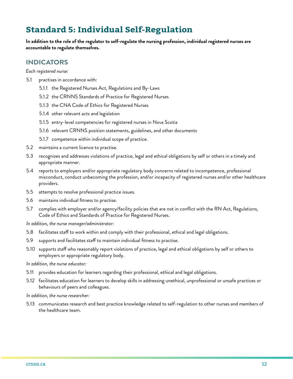## **Standard 5: Individual Self-Regulation**

**In addition to the role of the regulator to self-regulate the nursing profession, individual registered nurses are accountable to regulate themselves.**

## **INDICATORS**

*Each registered nurse:*

- 5.1 practises in accordance with:
	- 5.1.1 the Registered Nurses Act, Regulations and By-Laws
	- 5.1.2 the CRNNS Standards of Practice for Registered Nurses
	- 5.1.3 the CNA Code of Ethics for Registered Nurses
	- 5.1.4 other relevant acts and legislation
	- 5.1.5 entry-level competencies for registered nurses in Nova Scotia
	- 5.1.6 relevant CRNNS position statements, guidelines, and other documents
	- 5.1.7 competence within individual scope of practice.
- 5.2 maintains a current licence to practise.
- 5.3 recognizes and addresses violations of practice, legal and ethical obligations by self or others in a timely and appropriate manner.
- 5.4 reports to employers and/or appropriate regulatory body concerns related to incompetence, professional misconduct, conduct unbecoming the profession, and/or incapacity of registered nurses and/or other healthcare providers.
- 5.5 attempts to resolve professional practice issues.
- 5.6 maintains individual fitness to practise.
- 5.7 complies with employer and/or agency/facility policies that are not in conflict with the RN Act, Regulations, Code of Ethics and Standards of Practice for Registered Nurses.

*In addition, the nurse manager/administrator:*

- 5.8 facilitates staff to work within and comply with their professional, ethical and legal obligations.
- 5.9 supports and facilitates staff to maintain individual fitness to practise.
- 5.10 supports staff who reasonably report violations of practice, legal and ethical obligations by self or others to employers or appropriate regulatory body.

*In addition, the nurse educator:*

- 5.11 provides education for learners regarding their professional, ethical and legal obligations.
- 5.12 facilitates education for learners to develop skills in addressing unethical, unprofessional or unsafe practices or behaviours of peers and colleagues.

*In addition, the nurse researcher:*

5.13 communicates research and best practice knowledge related to self-regulation to other nurses and members of the healthcare team.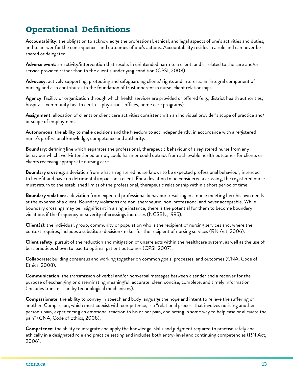# **Operational Definitions**

**Accountability**: the obligation to acknowledge the professional, ethical, and legal aspects of one's activities and duties, and to answer for the consequences and outcomes of one's actions. Accountability resides in a role and can never be shared or delegated.

**Adverse event**: an activity/intervention that results in unintended harm to a client, and is related to the care and/or service provided rather than to the client's underlying condition (CPSI, 2008).

**Advocacy**: actively supporting, protecting and safeguarding clients' rights and interests: an integral component of nursing and also contributes to the foundation of trust inherent in nurse-client relationships.

**Agency**: facility or organization through which health services are provided or offered (e.g., district health authorities, hospitals, community health centres, physicians' offices, home care programs).

**Assignment**: allocation of clients or client care activities consistent with an individual provider's scope of practice and/ or scope of employment.

**Autonomous**: the ability to make decisions and the freedom to act independently, in accordance with a registered nurse's professional knowledge, competence and authority.

**Boundary**: defining line which separates the professional, therapeutic behaviour of a registered nurse from any behaviour which, well-intentioned or not, could harm or could detract from achievable health outcomes for clients or clients receiving appropriate nursing care.

**Boundary crossing**: a deviation from what a registered nurse knows to be expected professional behaviour; intended to benefit and have no detrimental impact on a client. For a deviation to be considered a crossing, the registered nurse must return to the established limits of the professional, therapeutic relationship within a short period of time.

**Boundary violation**: a deviation from expected professional behaviour, resulting in a nurse meeting her/ his own needs at the expense of a client. Boundary violations are non-therapeutic, non-professional and never acceptable. While boundary crossings may be insignificant in a single instance, there is the potential for them to become boundary violations if the frequency or severity of crossings increases (NCSBN, 1995).

**Client(s)**: the individual, group, community or population who is the recipient of nursing services and, where the context requires, includes a substitute decision-maker for the recipient of nursing services (RN Act, 2006).

**Client safety**: pursuit of the reduction and mitigation of unsafe acts within the healthcare system, as well as the use of best practices shown to lead to optimal patient outcomes (CPSI, 2007).

**Collaborate**: building consensus and working together on common goals, processes, and outcomes (CNA, Code of Ethics, 2008).

**Communication**: the transmission of verbal and/or nonverbal messages between a sender and a receiver for the purpose of exchanging or disseminating meaningful, accurate, clear, concise, complete, and timely information (includes transmission by technological mechanisms).

**Compassionate**: the ability to convey in speech and body language the hope and intent to relieve the suffering of another. Compassion, which must coexist with competence, is a "relational process that involves noticing another person's pain, experiencing an emotional reaction to his or her pain, and acting in some way to help ease or alleviate the pain" (CNA, Code of Ethics, 2008).

**Competence**: the ability to integrate and apply the knowledge, skills and judgment required to practise safely and ethically in a designated role and practice setting and includes both entry-level and continuing competencies (RN Act, 2006).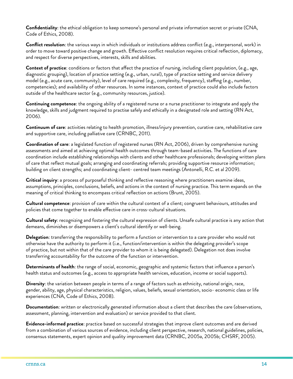**Confidentiality**: the ethical obligation to keep someone's personal and private information secret or private (CNA, Code of Ethics, 2008).

**Conflict resolution**: the various ways in which individuals or institutions address conflict (e.g., interpersonal, work) in order to move toward positive change and growth. Effective conflict resolution requires critical reflection, diplomacy, and respect for diverse perspectives, interests, skills and abilities.

**Context of practice**: conditions or factors that affect the practice of nursing, including client population, (e.g., age, diagnostic grouping), location of practice setting (e.g., urban, rural), type of practice setting and service delivery model (e.g., acute care, community), level of care required (e.g., complexity, frequency), staffing (e.g., number, competencies); and availability of other resources. In some instances, context of practice could also include factors outside of the healthcare sector (e.g., community resources, justice).

**Continuing competence**: the ongoing ability of a registered nurse or a nurse practitioner to integrate and apply the knowledge, skills and judgment required to practise safely and ethically in a designated role and setting (RN Act, 2006).

**Continuum of care**: activities relating to health promotion, illness/injury prevention, curative care, rehabilitative care and supportive care, including palliative care (CRNBC, 2011).

**Coordination of care**: a legislated function of registered nurses (RN Act, 2006), driven by comprehensive nursing assessments and aimed at achieving optimal health outcomes through team-based activities. The functions of care coordination include establishing relationships with clients and other healthcare professionals; developing written plans of care that reflect mutual goals; arranging and coordinating referrals; providing supportive resource information; building on client strengths; and coordinating client- centred team meetings (Antonelli, R.C. et al 2009).

**Critical inquiry**: a process of purposeful thinking and reflective reasoning where practitioners examine ideas, assumptions, principles, conclusions, beliefs, and actions in the context of nursing practice. This term expands on the meaning of critical thinking to encompass critical reflection on actions (Brunt, 2005).

**Cultural competence**: provision of care within the cultural context of a client; congruent behaviours, attitudes and policies that come together to enable effective care in cross-cultural situations.

**Cultural safety**: recognizing and fostering the cultural expression of clients. Unsafe cultural practice is any action that demeans, diminishes or disempowers a client's cultural identify or well-being.

**Delegation**: transferring the responsibility to perform a function or intervention to a care provider who would not otherwise have the authority to perform it (i.e., function/intervention is within the delegating provider's scope of practice, but not within that of the care provider to whom it is being delegated). Delegation not does involve transferring accountability for the outcome of the function or intervention.

**Determinants of health**: the range of social, economic, geographic and systemic factors that influence a person's health status and outcomes (e.g., access to appropriate health services, education, income or social supports).

**Diversity**: the variation between people in terms of a range of factors such as ethnicity, national origin, race, gender, ability, age, physical characteristics, religion, values, beliefs, sexual orientation, socio- economic class or life experiences (CNA, Code of Ethics, 2008).

**Documentation**: written or electronically generated information about a client that describes the care (observations, assessment, planning, intervention and evaluation) or service provided to that client.

**Evidence-informed practice**: practice based on successful strategies that improve client outcomes and are derived from a combination of various sources of evidence, including client perspective, research, national guidelines, policies, consensus statements, expert opinion and quality improvement data (CRNBC, 2005a, 2005b; CHSRF, 2005).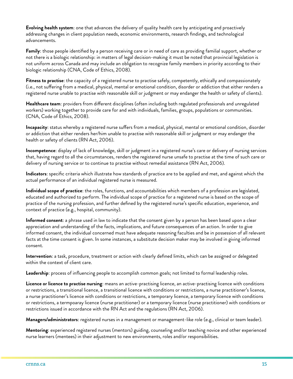**Evolving health system**: one that advances the delivery of quality health care by anticipating and proactively addressing changes in client population needs, economic environments, research findings, and technological advancements.

**Family**: those people identified by a person receiving care or in need of care as providing familial support, whether or not there is a biologic relationship: in matters of legal decision-making it must be noted that provincial legislation is not uniform across Canada and may include an obligation to recognize family members in priority according to their biologic relationship (CNA, Code of Ethics, 2008).

**Fitness to practise**: the capacity of a registered nurse to practise safely, competently, ethically and compassionately (i.e., not suffering from a medical, physical, mental or emotional condition, disorder or addiction that either renders a registered nurse unable to practise with reasonable skill or judgment or may endanger the health or safety of clients).

**Healthcare team**: providers from different disciplines (often including both regulated professionals and unregulated workers) working together to provide care for and with individuals, families, groups, populations or communities. (CNA, Code of Ethics, 2008).

**Incapacity**: status whereby a registered nurse suffers from a medical, physical, mental or emotional condition, disorder or addiction that either renders her/him unable to practise with reasonable skill or judgment or may endanger the health or safety of clients (RN Act, 2006).

**Incompetence**: display of lack of knowledge, skill or judgment in a registered nurse's care or delivery of nursing services that, having regard to all the circumstances, renders the registered nurse unsafe to practise at the time of such care or delivery of nursing service or to continue to practise without remedial assistance (RN Act, 2006).

**Indicators**: specific criteria which illustrate how standards of practice are to be applied and met, and against which the actual performance of an individual registered nurse is measured.

**Individual scope of practice**: the roles, functions, and accountabilities which members of a profession are legislated, educated and authorized to perform. The individual scope of practice for a registered nurse is based on the scope of practice of the nursing profession, and further defined by the registered nurse's specific education, experience, and context of practice (e.g., hospital, community).

**Informed consent**: a phrase used in law to indicate that the consent given by a person has been based upon a clear appreciation and understanding of the facts, implications, and future consequences of an action. In order to give informed consent, the individual concerned must have adequate reasoning faculties and be in possession of all relevant facts at the time consent is given. In some instances, a substitute decision maker may be involved in giving informed consent.

**Intervention**: a task, procedure, treatment or action with clearly defined limits, which can be assigned or delegated within the context of client care.

**Leadership**: process of influencing people to accomplish common goals; not limited to formal leadership roles.

**Licence or licence to practise nursing**: means an active-practising licence, an active-practising licence with conditions or restrictions, a transitional licence, a transitional licence with conditions or restrictions, a nurse practitioner's licence, a nurse practitioner's licence with conditions or restrictions, a temporary licence, a temporary licence with conditions or restrictions, a termpoaray licence (nurse practitioner) or a temporary licence (nurse practitioner) with conditions or restrictions issued in accordance with the RN Act and the regulations (RN Act, 2006).

**Managers/administrators**: registered nurses in a management or management-like role (e.g., clinical or team leader).

**Mentoring**: experienced registered nurses (mentors) guiding, counseling and/or teaching novice and other experienced nurse learners (mentees) in their adjustment to new environments, roles and/or responsibilities.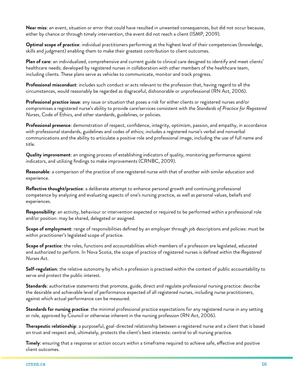**Near miss**: an event, situation or error that could have resulted in unwanted consequences, but did not occur because, either by chance or through timely intervention, the event did not reach a client (ISMP, 2009).

**Optimal scope of practice**: individual practitioners performing at the highest level of their competencies (knowledge, skills and judgment) enabling them to make their greatest contribution to client outcomes.

**Plan of care**: an individualized, comprehensive and current guide to clinical care designed to identify and meet clients' healthcare needs; developed by registered nurses in collaboration with other members of the healthcare team, including clients. These plans serve as vehicles to communicate, monitor and track progress.

**Professional misconduct**: includes such conduct or acts relevant to the profession that, having regard to all the circumstances, would reasonably be regarded as disgraceful, dishonorable or unprofessional (RN Act, 2006).

**Professional practice issue**: any issue or situation that poses a risk for either clients or registered nurses and/or compromises a registered nurse's ability to provide care/services consistent with the *Standards of Practice for Registered Nurses*, Code of Ethics, and other standards, guidelines, or policies.

**Professional presence**: demonstration of respect, confidence, integrity, optimism, passion, and empathy, in accordance with professional standards, guidelines and codes of ethics; includes a registered nurse's verbal and nonverbal communications and the ability to articulate a positive role and professional image, including the use of full name and title.

**Quality improvement**: an ongoing process of establishing indicators of quality, monitoring performance against indicators, and utilizing findings to make improvements (CRNBC, 2009).

**Reasonable**: a comparison of the practice of one registered nurse with that of another with similar education and experience.

**Reflective thought/practice**: a deliberate attempt to enhance personal growth and continuing professional competence by analyzing and evaluating aspects of one's nursing practice, as well as personal values, beliefs and experiences.

**Responsibility**: an activity, behaviour or intervention expected or required to be performed within a professional role and/or position: may be shared, delegated or assigned.

**Scope of employment**: range of responsibilities defined by an employer through job descriptions and policies: must be within practitioner's legislated scope of practice.

**Scope of practice**: the roles, functions and accountabilities which members of a profession are legislated, educated and authorized to perform. In Nova Scotia, the scope of practice of registered nurses is defined within the *Registered Nurses Act*.

**Self-regulation**: the relative autonomy by which a profession is practised within the context of public accountability to serve and protect the public interest.

**Standards**: authoritative statements that promote, guide, direct and regulate professional nursing practice: describe the desirable and achievable level of performance expected of all registered nurses, including nurse practitioners, against which actual performance can be measured.

**Standards for nursing practice**: the minimal professional practice expectations for any registered nurse in any setting or role, approved by Council or otherwise inherent in the nursing profession (RN Act, 2006).

**Therapeutic relationship**: a purposeful, goal-directed relationship between a registered nurse and a client that is based on trust and respect and, ultimately, protects the client's best interests: central to all nursing practice.

**Timely**: ensuring that a response or action occurs within a timeframe required to achieve safe, effective and positive client outcomes.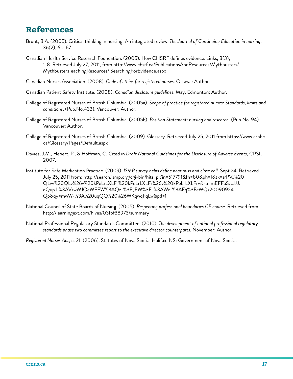## **References**

- Brunt, B.A. (2005). Critical thinking in nursing: An integrated review. *The Journal of Continuing Education in nursing*, 36(2), 60-67.
- Canadian Health Service Research Foundation. (2005). How CHSRF defines evidence. Links, 8(3), 1-8. Retrieved July 27, 2011, from http://www.chsrf.ca/PublicationsAndResources/Mythbusters/ MythbustersTeachingResources/ SearchingForEvidence.aspx
- Canadian Nurses Association. (2008). *Code of ethics for registered nurses*. Ottawa: Author.
- Canadian Patient Safety Institute. (2008). *Canadian disclosure guidelines*. May. Edmonton: Author.
- College of Registered Nurses of British Columbia. (2005a). *Scope of practice for registered nurses: Standards, limits and conditions*. (Pub.No.433). Vancouver: Author.
- College of Registered Nurses of British Columbia. (2005b). *Position Statement: nursing and research*. (Pub.No. 94). Vancouver: Author.
- College of Registered Nurses of British Columbia. (2009). Glossary. Retrieved July 25, 2011 from https://www.crnbc. ca/Glossary/Pages/Default.aspx
- Davies, J.M., Hebert, P., & Hoffman, C. Cited in *Draft National Guidelines for the Disclosure of Adverse Events*, CPSI, 2007.
- Institute for Safe Medication Practice. (2009). *ISMP survey helps define near miss and close call*. Sept 24. Retrieved July 25, 2011 from: http://search.ismp.org/cgi-bin/hits. pl?in=517791&fh=80&ph=1&tk=srPVJ%20 QLvv%20QLv%26v%20kPeLrLXLFr%20kPeLrLXLFr%26v%20kPeLrLXLFrv&su=mEFFpSzzJJJ. qQup.L%3AVzwWJQeWFFW%3AQz-%3F\_FW%3F-%3AWz-%3AFq%3FeWQz20090924.- Qp&qy=mwW-%3A%20uqQQ%20%26WKqwqFqLw&pd=1
- National Council of State Boards of Nursing. (2005). *Respecting professional boundaries CE course*. Retrieved from http://learningext.com/hives/03fbf38973/summary
- National Professional Regulatory Standards Committee. (2010). *The development of national professional regulatory standards phase two committee report to the executive director counterparts*. November: Author.
- *Registered Nurses Act*, c. 21. (2006). Statutes of Nova Scotia. Halifax, NS: Government of Nova Scotia.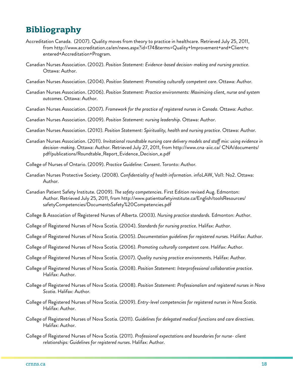## **Bibliography**

- Accreditation Canada. (2007). Quality moves from theory to practice in healthcare. Retrieved July 25, 2011, from http://www.accreditation.ca/en/news.aspx?id=174&terms=Quality+Improvement+and+Client+c entered+Accreditation+Program.
- Canadian Nurses Association. (2002). *Position Statement: Evidence-based decision-making and nursing practice*. Ottawa: Author.
- Canadian Nurses Association. (2004). *Position Statement: Promoting culturally competent care*. Ottawa: Author.
- Canadian Nurses Association. (2006). *Position Statement: Practice environments: Maximizing client, nurse and system outcomes*. Ottawa: Author.
- Canadian Nurses Association. (2007). *Framework for the practice of registered nurses in Canada*. Ottawa: Author.
- Canadian Nurses Association. (2009). *Position Statement: nursing leadership*. Ottawa: Author.
- Canadian Nurses Association. (2010). *Position Statement: Spirituality, health and nursing practice*. Ottawa: Author.
- Canadian Nurses Association. (2011). *Invitational roundtable nursing care delivery models and staff mix: using evidence in decision-making*. Ottawa: Author. Retrieved July 27, 2011, from http://www.cna-aiic.ca/ CNA/documents/ pdf/publications/Roundtable\_Report\_Evidence\_Decision\_e.pdf
- College of Nurses of Ontario. (2009). *Practice Guideline: Consent*. Toronto: Author.
- Canadian Nurses Protective Society. (2008). *Confidentiality of health information*. infoLAW, Vol1: No2. Ottawa: Author.
- Canadian Patient Safety Institute. (2009). *The safety competencies*. First Edition revised Aug. Edmonton: Author. Retrieved July 25, 2011, from http://www.patientsafetyinstitute.ca/English/toolsResources/ safetyCompetencies/DocumentsSafety%20Competencies.pdf
- College & Association of Registered Nurses of Alberta. (2003). *Nursing practice standards*. Edmonton: Author.
- College of Registered Nurses of Nova Scotia. (2004). *Standards for nursing practice*. Halifax: Author.
- College of Registered Nurses of Nova Scotia. (2005). *Documentation guidelines for registered nurses*. Halifax: Author.
- College of Registered Nurses of Nova Scotia. (2006). *Promoting culturally competent care*. Halifax: Author.
- College of Registered Nurses of Nova Scotia. (2007). *Quality nursing practice environment*s. Halifax: Author.
- College of Registered Nurses of Nova Scotia. (2008). *Position Statement: Interprofessional collaborative practice*. Halifax: Author.
- College of Registered Nurses of Nova Scotia. (2008). *Position Statement: Professionalism and registered nurses in Nova Scotia*. Halifax: Author.
- College of Registered Nurses of Nova Scotia. (2009). *Entry-level competencies for registered nurses in Nova Scotia*. Halifax: Author.
- College of Registered Nurses of Nova Scotia. (2011). *Guidelines for delegated medical functions and care directives*. Halifax: Author.
- College of Registered Nurses of Nova Scotia. (2011). *Professional expectations and boundaries for nurse- client relationships: Guidelines for registered nurses*. Halifax: Author.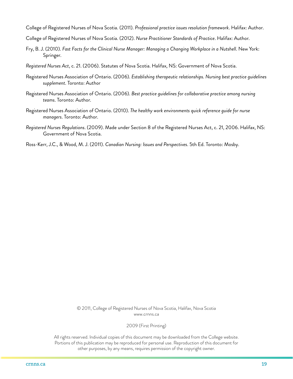- College of Registered Nurses of Nova Scotia. (2011). *Professional practice issues resolution framework*. Halifax: Author.
- College of Registered Nurses of Nova Scotia. (2012). *Nurse Practitioner Standards of Practice*. Halifax: Author.
- Fry, B. J. (2010). *Fast Facts for the Clinical Nurse Manager: Managing a Changing Workplace in a Nutshell*. New York: Springer.
- *Registered Nurses Act*, c. 21. (2006). Statutes of Nova Scotia. Halifax, NS: Government of Nova Scotia.
- Registered Nurses Association of Ontario. (2006). *Establishing therapeutic relationships. Nursing best practice guidelines supplement*. Toronto: Author
- Registered Nurses Association of Ontario. (2006). *Best practice guidelines for collaborative practice among nursing teams*. Toronto: Author.
- Registered Nurses Association of Ontario. (2010). *The healthy work environments quick reference guide for nurse managers*. Toronto: Author.
- *Registered Nurses Regulations*. (2009). Made under Section 8 of the Registered Nurses Act, c. 21, 2006. Halifax, NS: Government of Nova Scotia.
- Ross-Kerr, J.C., & Wood, M. J. (2011). *Canadian Nursing: Issues and Perspectives*. 5th Ed. Toronto: Mosby.

© 2011, College of Registered Nurses of Nova Scotia, Halifax, Nova Scotia www.crnns.ca

2009 (First Printing)

All rights reserved. Individual copies of this document may be downloaded from the College website. Portions of this publication may be reproduced for personal use. Reproduction of this document for other purposes, by any means, requires permission of the copyright owner.